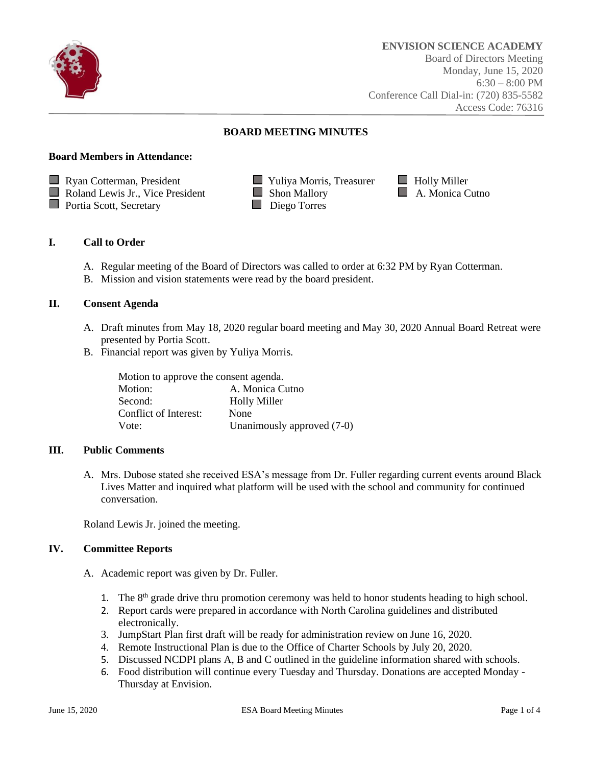

# **BOARD MEETING MINUTES**

### **Board Members in Attendance:**



# **I. Call to Order**

- A. Regular meeting of the Board of Directors was called to order at 6:32 PM by Ryan Cotterman.
- B. Mission and vision statements were read by the board president.

# **II. Consent Agenda**

- A. Draft minutes from May 18, 2020 regular board meeting and May 30, 2020 Annual Board Retreat were presented by Portia Scott.
- B. Financial report was given by Yuliya Morris.

| Motion to approve the consent agenda. |                            |
|---------------------------------------|----------------------------|
| Motion:                               | A. Monica Cutno            |
| Second:                               | <b>Holly Miller</b>        |
| Conflict of Interest:                 | None                       |
| Vote:                                 | Unanimously approved (7-0) |

#### **III. Public Comments**

A. Mrs. Dubose stated she received ESA's message from Dr. Fuller regarding current events around Black Lives Matter and inquired what platform will be used with the school and community for continued conversation.

Roland Lewis Jr. joined the meeting.

# **IV. Committee Reports**

- A. Academic report was given by Dr. Fuller.
	- 1. The  $8<sup>th</sup>$  grade drive thru promotion ceremony was held to honor students heading to high school.
	- 2. Report cards were prepared in accordance with North Carolina guidelines and distributed electronically.
	- 3. JumpStart Plan first draft will be ready for administration review on June 16, 2020.
	- 4. Remote Instructional Plan is due to the Office of Charter Schools by July 20, 2020.
	- 5. Discussed NCDPI plans A, B and C outlined in the guideline information shared with schools.
	- 6. Food distribution will continue every Tuesday and Thursday. Donations are accepted Monday Thursday at Envision.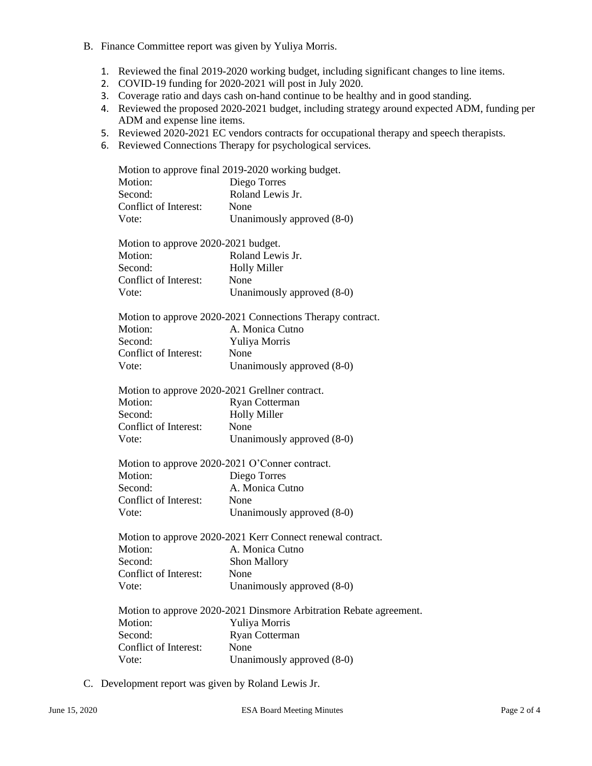- B. Finance Committee report was given by Yuliya Morris.
	- 1. Reviewed the final 2019-2020 working budget, including significant changes to line items.
	- 2. COVID-19 funding for 2020-2021 will post in July 2020.
	- 3. Coverage ratio and days cash on-hand continue to be healthy and in good standing.
	- 4. Reviewed the proposed 2020-2021 budget, including strategy around expected ADM, funding per ADM and expense line items.
	- 5. Reviewed 2020-2021 EC vendors contracts for occupational therapy and speech therapists.
	- 6. Reviewed Connections Therapy for psychological services.

| Motion to approve final 2019-2020 working budget.                            |
|------------------------------------------------------------------------------|
| Diego Torres                                                                 |
| Roland Lewis Jr.                                                             |
| None                                                                         |
| Unanimously approved (8-0)                                                   |
|                                                                              |
| Motion to approve 2020-2021 budget.                                          |
| Roland Lewis Jr.                                                             |
| <b>Holly Miller</b>                                                          |
| None                                                                         |
| Unanimously approved (8-0)                                                   |
|                                                                              |
| Motion to approve 2020-2021 Connections Therapy contract.<br>A. Monica Cutno |
|                                                                              |
| Yuliya Morris                                                                |
| None                                                                         |
| Unanimously approved (8-0)                                                   |
| Motion to approve 2020-2021 Grellner contract.                               |
| Ryan Cotterman                                                               |
| <b>Holly Miller</b>                                                          |
| None                                                                         |
| Unanimously approved (8-0)                                                   |
|                                                                              |
| Motion to approve 2020-2021 O'Conner contract.                               |
| Diego Torres                                                                 |
| A. Monica Cutno                                                              |
| None                                                                         |
| Unanimously approved (8-0)                                                   |
|                                                                              |
| Motion to approve 2020-2021 Kerr Connect renewal contract.                   |
| A. Monica Cutno                                                              |
| Shon Mallory                                                                 |
| None                                                                         |
| Unanimously approved (8-0)                                                   |
| Motion to approve 2020-2021 Dinsmore Arbitration Rebate agreement.           |
| Yuliya Morris                                                                |
| Ryan Cotterman                                                               |
| None                                                                         |
|                                                                              |
| Unanimously approved (8-0)                                                   |
|                                                                              |

C. Development report was given by Roland Lewis Jr.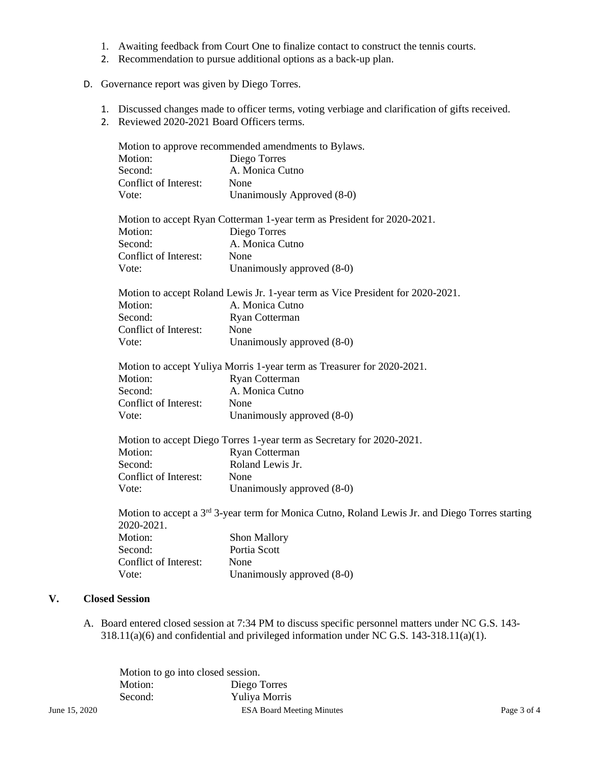- 1. Awaiting feedback from Court One to finalize contact to construct the tennis courts.
- 2. Recommendation to pursue additional options as a back-up plan.
- D. Governance report was given by Diego Torres.
	- 1. Discussed changes made to officer terms, voting verbiage and clarification of gifts received.
	- 2. Reviewed 2020-2021 Board Officers terms.

|    |                       | Motion to approve recommended amendments to Bylaws.                                                         |
|----|-----------------------|-------------------------------------------------------------------------------------------------------------|
|    | Motion:               | Diego Torres                                                                                                |
|    | Second:               | A. Monica Cutno                                                                                             |
|    | Conflict of Interest: | None                                                                                                        |
|    | Vote:                 | Unanimously Approved (8-0)                                                                                  |
|    |                       | Motion to accept Ryan Cotterman 1-year term as President for 2020-2021.                                     |
|    | Motion:               | Diego Torres                                                                                                |
|    | Second:               | A. Monica Cutno                                                                                             |
|    | Conflict of Interest: | None                                                                                                        |
|    | Vote:                 | Unanimously approved (8-0)                                                                                  |
|    |                       | Motion to accept Roland Lewis Jr. 1-year term as Vice President for 2020-2021.                              |
|    | Motion:               | A. Monica Cutno                                                                                             |
|    | Second:               | Ryan Cotterman                                                                                              |
|    | Conflict of Interest: | None                                                                                                        |
|    | Vote:                 | Unanimously approved (8-0)                                                                                  |
|    |                       | Motion to accept Yuliya Morris 1-year term as Treasurer for 2020-2021.                                      |
|    | Motion:               | Ryan Cotterman                                                                                              |
|    | Second:               | A. Monica Cutno                                                                                             |
|    | Conflict of Interest: | None                                                                                                        |
|    | Vote:                 | Unanimously approved (8-0)                                                                                  |
|    |                       | Motion to accept Diego Torres 1-year term as Secretary for 2020-2021.                                       |
|    | Motion:               | Ryan Cotterman                                                                                              |
|    | Second:               | Roland Lewis Jr.                                                                                            |
|    | Conflict of Interest: | None                                                                                                        |
|    | Vote:                 | Unanimously approved (8-0)                                                                                  |
|    | 2020-2021.            | Motion to accept a 3 <sup>rd</sup> 3-year term for Monica Cutno, Roland Lewis Jr. and Diego Torres starting |
|    | Motion:               | Shon Mallory                                                                                                |
|    | Second:               | Portia Scott                                                                                                |
|    | Conflict of Interest: | None                                                                                                        |
|    | Vote:                 | Unanimously approved (8-0)                                                                                  |
| V. | <b>Closed Session</b> |                                                                                                             |

A. Board entered closed session at 7:34 PM to discuss specific personnel matters under NC G.S. 143- 318.11(a)(6) and confidential and privileged information under NC G.S. 143-318.11(a)(1).

|               | Motion to go into closed session. |                                  |             |
|---------------|-----------------------------------|----------------------------------|-------------|
|               | Motion:                           | Diego Torres                     |             |
|               | Second:                           | Yuliya Morris                    |             |
| June 15, 2020 |                                   | <b>ESA Board Meeting Minutes</b> | Page 3 of 4 |